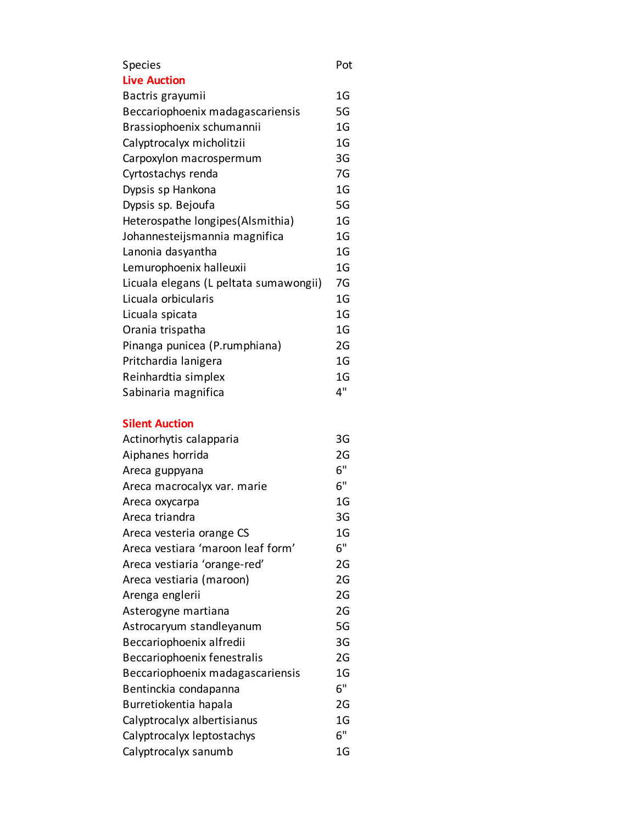## Species Pot

| <b>Live Auction</b>                    |                |
|----------------------------------------|----------------|
| Bactris grayumii                       | 1G             |
| Beccariophoenix madagascariensis       | 5G             |
| Brassiophoenix schumannii              | 1G             |
| Calyptrocalyx micholitzii              | 1G             |
| Carpoxylon macrospermum                | 3G             |
| Cyrtostachys renda                     | 7G             |
| Dypsis sp Hankona                      | 1G             |
| Dypsis sp. Bejoufa                     | 5G             |
| Heterospathe longipes(Alsmithia)       | 1G             |
| Johannesteijsmannia magnifica          | 1G             |
| Lanonia dasyantha                      | 1 <sub>G</sub> |
| Lemurophoenix halleuxii                | 1G             |
| Licuala elegans (L peltata sumawongii) | 7G             |
| Licuala orbicularis                    | 1G             |
| Licuala spicata                        | 1G             |
| Orania trispatha                       | 1G             |
| Pinanga punicea (P.rumphiana)          | 2G             |
| Pritchardia lanigera                   | 1G             |
| Reinhardtia simplex                    | 1G             |
| Sabinaria magnifica                    | 4"             |

## **Silent Auction**

| Actinorhytis calapparia           | 3G             |
|-----------------------------------|----------------|
| Aiphanes horrida                  | 2G             |
| Areca guppyana                    | 6"             |
| Areca macrocalyx var. marie       | 6"             |
| Areca oxycarpa                    | 1G             |
| Areca triandra                    | 3G             |
| Areca vesteria orange CS          | 1G             |
| Areca vestiara 'maroon leaf form' | 6"             |
| Areca vestiaria 'orange-red'      | 2G             |
| Areca vestiaria (maroon)          | 2G             |
| Arenga englerii                   | 2G             |
| Asterogyne martiana               | 2G             |
| Astrocaryum standleyanum          | 5G             |
| Beccariophoenix alfredii          | 3G             |
| Beccariophoenix fenestralis       | 2G             |
| Beccariophoenix madagascariensis  | 1G             |
| Bentinckia condapanna             | 6"             |
| Burretiokentia hapala             | 2G             |
| Calyptrocalyx albertisianus       | 1 <sub>G</sub> |
| Calyptrocalyx leptostachys        | 6"             |
| Calyptrocalyx sanumb              | 1 <sub>G</sub> |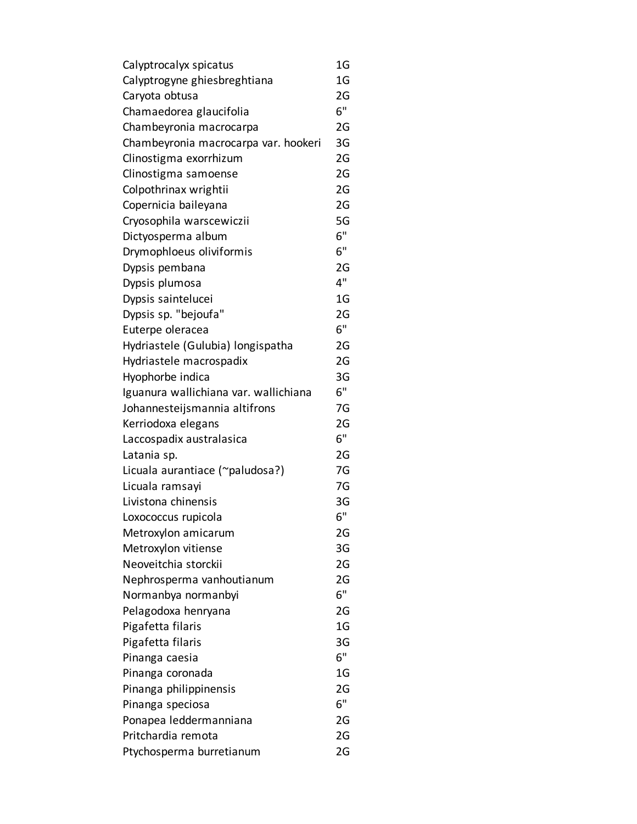| Calyptrocalyx spicatus                | 1G             |
|---------------------------------------|----------------|
| Calyptrogyne ghiesbreghtiana          | 1G             |
| Caryota obtusa                        | 2G             |
| Chamaedorea glaucifolia               | 6"             |
| Chambeyronia macrocarpa               | 2G             |
| Chambeyronia macrocarpa var. hookeri  | 3G             |
| Clinostigma exorrhizum                | 2G             |
| Clinostigma samoense                  | 2G             |
| Colpothrinax wrightii                 | 2G             |
| Copernicia baileyana                  | 2G             |
| Cryosophila warscewiczii              | 5G             |
| Dictyosperma album                    | 6"             |
| Drymophloeus oliviformis              | 6"             |
| Dypsis pembana                        | 2G             |
| Dypsis plumosa                        | 4"             |
| Dypsis saintelucei                    | 1 <sub>G</sub> |
| Dypsis sp. "bejoufa"                  | 2G             |
| Euterpe oleracea                      | 6"             |
| Hydriastele (Gulubia) longispatha     | 2G             |
| Hydriastele macrospadix               | 2G             |
| Hyophorbe indica                      | 3G             |
| Iguanura wallichiana var. wallichiana | 6"             |
| Johannesteijsmannia altifrons         | 7G             |
| Kerriodoxa elegans                    | 2G             |
| Laccospadix australasica              | 6"             |
| Latania sp.                           | 2G             |
| Licuala aurantiace (~paludosa?)       | 7G             |
| Licuala ramsayi                       | 7G             |
| Livistona chinensis                   | 3G             |
| Loxococcus rupicola                   | 6"             |
| Metroxylon amicarum                   | 2G             |
| Metroxylon vitiense                   | 3G             |
| Neoveitchia storckii                  | 2G             |
| Nephrosperma vanhoutianum             | 2G             |
| Normanbya normanbyi                   | 6"             |
| Pelagodoxa henryana                   | 2G             |
| Pigafetta filaris                     | 1G             |
| Pigafetta filaris                     | 3G             |
| Pinanga caesia                        | 6"             |
| Pinanga coronada                      | 1 <sub>G</sub> |
| Pinanga philippinensis                | 2G             |
| Pinanga speciosa                      | 6"             |
| Ponapea leddermanniana                | 2G             |
| Pritchardia remota                    | 2G             |
| Ptychosperma burretianum              | 2G             |